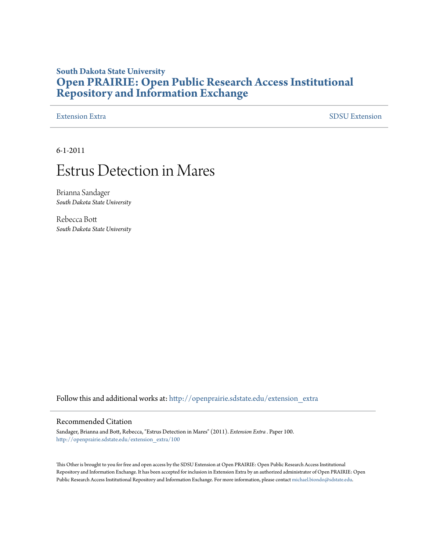### **South Dakota State University [Open PRAIRIE: Open Public Research Access Institutional](http://openprairie.sdstate.edu?utm_source=openprairie.sdstate.edu%2Fextension_extra%2F100&utm_medium=PDF&utm_campaign=PDFCoverPages) [Repository and Information Exchange](http://openprairie.sdstate.edu?utm_source=openprairie.sdstate.edu%2Fextension_extra%2F100&utm_medium=PDF&utm_campaign=PDFCoverPages)**

#### [Extension Extra](http://openprairie.sdstate.edu/extension_extra?utm_source=openprairie.sdstate.edu%2Fextension_extra%2F100&utm_medium=PDF&utm_campaign=PDFCoverPages)  $SDSU$  Extension

6-1-2011

## Estrus Detection in Mares

Brianna Sandager *South Dakota State University*

Rebecca Bott *South Dakota State University*

Follow this and additional works at: [http://openprairie.sdstate.edu/extension\\_extra](http://openprairie.sdstate.edu/extension_extra?utm_source=openprairie.sdstate.edu%2Fextension_extra%2F100&utm_medium=PDF&utm_campaign=PDFCoverPages)

#### Recommended Citation

Sandager, Brianna and Bott, Rebecca, "Estrus Detection in Mares" (2011). *Extension Extra .* Paper 100. [http://openprairie.sdstate.edu/extension\\_extra/100](http://openprairie.sdstate.edu/extension_extra/100?utm_source=openprairie.sdstate.edu%2Fextension_extra%2F100&utm_medium=PDF&utm_campaign=PDFCoverPages)

This Other is brought to you for free and open access by the SDSU Extension at Open PRAIRIE: Open Public Research Access Institutional Repository and Information Exchange. It has been accepted for inclusion in Extension Extra by an authorized administrator of Open PRAIRIE: Open Public Research Access Institutional Repository and Information Exchange. For more information, please contact [michael.biondo@sdstate.edu](mailto:michael.biondo@sdstate.edu).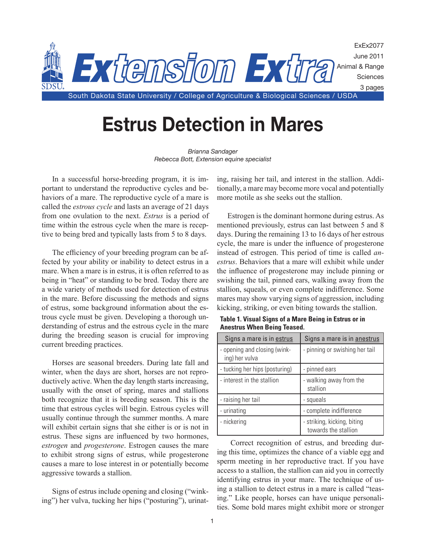

# **Estrus Detection in Mares**

*Brianna Sandager Rebecca Bott, Extension equine specialist*

In a successful horse-breeding program, it is important to understand the reproductive cycles and behaviors of a mare. The reproductive cycle of a mare is called the *estrous cycle* and lasts an average of 21 days from one ovulation to the next. *Estrus* is a period of time within the estrous cycle when the mare is receptive to being bred and typically lasts from 5 to 8 days.

The efficiency of your breeding program can be affected by your ability or inability to detect estrus in a mare. When a mare is in estrus, it is often referred to as being in "heat" or standing to be bred. Today there are a wide variety of methods used for detection of estrus in the mare. Before discussing the methods and signs of estrus, some background information about the estrous cycle must be given. Developing a thorough understanding of estrus and the estrous cycle in the mare during the breeding season is crucial for improving current breeding practices.

Horses are seasonal breeders. During late fall and winter, when the days are short, horses are not reproductively active. When the day length starts increasing, usually with the onset of spring, mares and stallions both recognize that it is breeding season. This is the time that estrous cycles will begin. Estrous cycles will usually continue through the summer months. A mare will exhibit certain signs that she either is or is not in estrus. These signs are influenced by two hormones, *estrogen* and *progesterone*. Estrogen causes the mare to exhibit strong signs of estrus, while progesterone causes a mare to lose interest in or potentially become aggressive towards a stallion.

Signs of estrus include opening and closing ("winking") her vulva, tucking her hips ("posturing"), urinating, raising her tail, and interest in the stallion. Additionally, a mare may become more vocal and potentially more motile as she seeks out the stallion.

Estrogen is the dominant hormone during estrus. As mentioned previously, estrus can last between 5 and 8 days. During the remaining 13 to 16 days of her estrous cycle, the mare is under the influence of progesterone instead of estrogen. This period of time is called *anestrus*. Behaviors that a mare will exhibit while under the influence of progesterone may include pinning or swishing the tail, pinned ears, walking away from the stallion, squeals, or even complete indifference. Some mares may show varying signs of aggression, including kicking, striking, or even biting towards the stallion.

| Signs a mare is in estrus                      | Signs a mare is in anestrus                         |
|------------------------------------------------|-----------------------------------------------------|
| - opening and closing (wink-<br>ing) her vulva | - pinning or swishing her tail                      |
| - tucking her hips (posturing)                 | - pinned ears                                       |
| - interest in the stallion                     | - walking away from the<br>stallion                 |
| - raising her tail                             | - squeals                                           |
| - urinating                                    | - complete indifference                             |
| - nickering                                    | - striking, kicking, biting<br>towards the stallion |

**Table 1. Visual Signs of a Mare Being in Estrus or in Anestrus When Being Teased.**

 Correct recognition of estrus, and breeding during this time, optimizes the chance of a viable egg and sperm meeting in her reproductive tract. If you have access to a stallion, the stallion can aid you in correctly identifying estrus in your mare. The technique of using a stallion to detect estrus in a mare is called "teasing." Like people, horses can have unique personalities. Some bold mares might exhibit more or stronger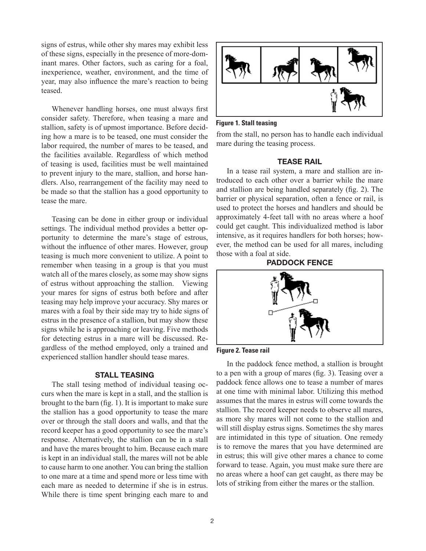signs of estrus, while other shy mares may exhibit less of these signs, especially in the presence of more-dominant mares. Other factors, such as caring for a foal, inexperience, weather, environment, and the time of year, may also influence the mare's reaction to being teased.

Whenever handling horses, one must always first consider safety. Therefore, when teasing a mare and stallion, safety is of upmost importance. Before deciding how a mare is to be teased, one must consider the labor required, the number of mares to be teased, and the facilities available. Regardless of which method of teasing is used, facilities must be well maintained to prevent injury to the mare, stallion, and horse handlers. Also, rearrangement of the facility may need to be made so that the stallion has a good opportunity to tease the mare.

Teasing can be done in either group or individual settings. The individual method provides a better opportunity to determine the mare's stage of estrous, without the influence of other mares. However, group teasing is much more convenient to utilize. A point to remember when teasing in a group is that you must watch all of the mares closely, as some may show signs of estrus without approaching the stallion. Viewing your mares for signs of estrus both before and after teasing may help improve your accuracy. Shy mares or mares with a foal by their side may try to hide signs of estrus in the presence of a stallion, but may show these signs while he is approaching or leaving. Five methods for detecting estrus in a mare will be discussed. Regardless of the method employed, only a trained and experienced stallion handler should tease mares.

#### **STALL TEASING**

The stall tesing method of individual teasing occurs when the mare is kept in a stall, and the stallion is brought to the barn (fig. 1). It is important to make sure the stallion has a good opportunity to tease the mare over or through the stall doors and walls, and that the record keeper has a good opportunity to see the mare's response. Alternatively, the stallion can be in a stall and have the mares brought to him. Because each mare is kept in an individual stall, the mares will not be able to cause harm to one another. You can bring the stallion to one mare at a time and spend more or less time with each mare as needed to determine if she is in estrus. While there is time spent bringing each mare to and



**Figure 1. Stall teasing**

from the stall, no person has to handle each individual mare during the teasing process.

#### **TEASE RAIL**

In a tease rail system, a mare and stallion are introduced to each other over a barrier while the mare and stallion are being handled separately (fig. 2). The barrier or physical separation, often a fence or rail, is used to protect the horses and handlers and should be approximately 4-feet tall with no areas where a hoof could get caught. This individualized method is labor intensive, as it requires handlers for both horses; however, the method can be used for all mares, including those with a foal at side.







In the paddock fence method, a stallion is brought to a pen with a group of mares (fig. 3). Teasing over a paddock fence allows one to tease a number of mares at one time with minimal labor. Utilizing this method assumes that the mares in estrus will come towards the stallion. The record keeper needs to observe all mares, as more shy mares will not come to the stallion and will still display estrus signs. Sometimes the shy mares are intimidated in this type of situation. One remedy is to remove the mares that you have determined are in estrus; this will give other mares a chance to come forward to tease. Again, you must make sure there are no areas where a hoof can get caught, as there may be lots of striking from either the mares or the stallion.